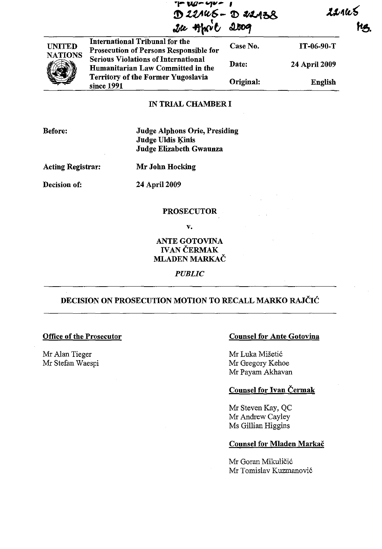**rt- uu- ""'., - , D** 22145 - D 22138<br>Ice Hhort 2009  $J\alpha$  that

221kS

UNITED NATIONS International Tribunal for the Prosecution of Persons Responsible for Serious Violations of International Humanitarian Law Committed in the Territory of the Former Yugoslavia since 1991 Case No. Date: Original: IT-06-90-T 24 April 2009 English

## IN TRIAL CHAMBER I

Before:

Judge Alphons Orie, Presiding Judge Uldis Kinis Judge Elizabeth Gwaunza

Acting Registrar: Mr John Hocking

Decision of: 24 April 2009

#### PROSECUTOR

v.

ANTE GOTOVINA IVAN ČERMAK MLADEN MARKAČ

*PUBLIC* 

# DECISION ON PROSECUTION MOTION TO RECALL MARKO RAJČIĆ

# Office of the Prosecutor

Mr Alan Tieger Mr Stefan Waespi

#### Counsel for Ante Gotovina

Mr Luka Mišetić Mr Gregory Kehoe Mr Payam Akhavan

### Counsel for Ivan Čermak

Mr Steven Kay, QC Mr Andrew Cayley Ms Gillian Higgins

#### Counsel for Mladen Markač

Mr Goran Mikuličić Mr Tomislav Kuzmanović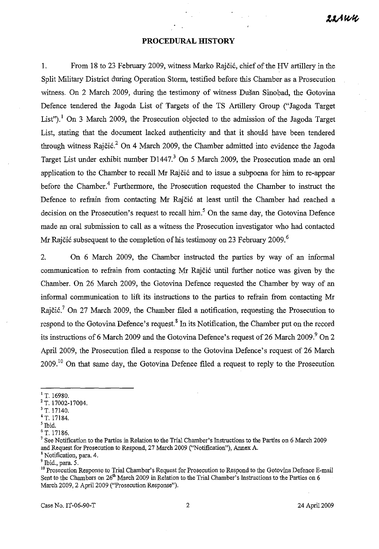## **PROCEDURAL HISTORY**

1. From 18 to 23 February 2009, witness Marko Rajčić, chief ofthe HV artillery in the Split Military District during Operation Storm, testified before this Chamber as a Prosecution witness. On 2 March 2009, during the testimony of witness Dušan Sinobad, the Gotovina Defence tendered the Jagoda List of Targets of the TS Artillery Group ("Jagoda Target List").<sup>1</sup> On 3 March 2009, the Prosecution objected to the admission of the Jagoda Target List, stating that the document lacked authenticity and that it should have been tendered through witness Rajčić.<sup>2</sup> On 4 March 2009, the Chamber admitted into evidence the Jagoda Target List under exhibit number D1447.<sup>3</sup> On 5 March 2009, the Prosecution made an oral application to the Chamber to recall Mr Rajčić and to issue a subpoena for him to re-appear before the Chamber.<sup>4</sup> Furthermore, the Prosecution requested the Chamber to instruct the Defence to refrain from contacting Mr Rajčić at least until the Chamber had reached a decision on the Prosecution's request to recall him.<sup>5</sup> On the same day, the Gotovina Defence made an oral submission to call as a witness the Prosecution investigator who had contacted Mr Rajčić subsequent to the completion of his testimony on 23 February 2009.<sup>6</sup>

2. On 6 March 2009, the Chamber instructed the parties by way of an informal communication to refrain from contacting Mr Rajčić until further notice was given by the Chamber. On 26 March 2009, the Gotovina Defence requested the Chamber by way of an informal communication to lift its instructions to the parties to refrain from contacting Mr Rajčić.<sup>7</sup> On 27 March 2009, the Chamber filed a notification, requesting the Prosecution to respond to the Gotovina Defence's request.<sup>8</sup> In its Notification, the Chamber put on the record its instructions of 6 March 2009 and the Gotovina Defence's request of 26 March 2009.<sup>9</sup> On 2 April 2009, the Prosecution filed a response to the Gotovina Defence's request of 26 March 2009.<sup>10</sup> On that same day, the Gotovina Defence filed a request to reply to the Prosecution

 $1$  T. 16980.

<sup>2</sup> T. 17002-17004.

<sup>&</sup>lt;sup>3</sup> T. 17140.

<sup>4</sup> T. 17184.

<sup>5</sup> Ibid.

<sup>6</sup> T. 17186.

<sup>&</sup>lt;sup>7</sup> See Notification to the Parties in Relation to the Trial Chamber's Instructions to the Parties on 6 March 2009 and Request for Prosecution to Respond, 27 March 2009 ("Notification"), Annex A.

<sup>&</sup>lt;sup>8</sup> Notification, para. 4.

<sup>9</sup> Ibid., para. *S.* 

<sup>&</sup>lt;sup>10</sup> Prosecution Response to Trial Chamber's Request for Prosecution to Respond to the Gotovina Defence E-mail Sent to the Chambers on 26<sup>th</sup> March 2009 in Relation to the Trial Chamber's Instructions to the Parties on 6 March 2009, 2 April 2009 ("Prosecution Response").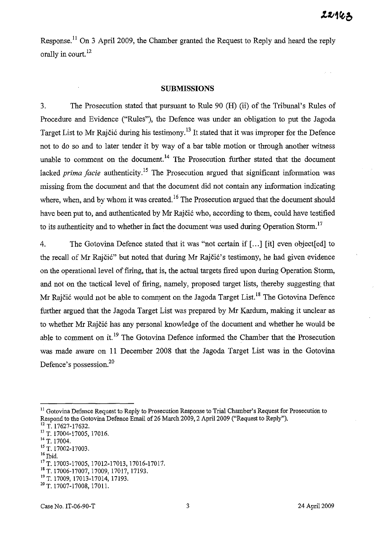Response.<sup>11</sup> On 3 April 2009, the Chamber granted the Request to Reply and heard the reply orally in court.<sup>12</sup>

#### **SUBMISSIONS**

3. The Prosecution stated that pursuant to Rule 90 (H) (ii) of the Tribunal's Rules of Procedure and Evidence ("Rules"), the Defence was under an obligation to put the Jagoda Target List to Mr Rajčić during his testimony.<sup>13</sup> It stated that it was improper for the Defence not to do so and to later tender it by way of a bar table motion or through another witness unable to comment on the document.<sup>14</sup> The Prosecution further stated that the document lacked *prima facie* authenticity.<sup>15</sup> The Prosecution argued that significant information was missing from the document and that the document did not contain any information indicating where, when, and by whom it was created.<sup>16</sup> The Prosecution argued that the document should have been put to, and authenticated by Mr Rajčić who, according to them, could have testified to its authenticity and to whether in fact the document was used during Operation Storm.<sup>17</sup>

4. The Gotovina Defence stated that it was "not certain if [ ... ] [it] even object[ed] to the recall of Mr Rajčić" but noted that during Mr Rajčić's testimony, he had given evidence on the operational level of firing, that is, the actual targets fired upon during Operation Storm, and not on the tactical level of firing, namely, proposed target lists, thereby suggesting that Mr Rajčić would not be able to comment on the Jagoda Target List.<sup>18</sup> The Gotovina Defence further argued that the Jagoda Target List was prepared by Mr Kardum, making it unclear as to whether Mr Rajčić has any personal knowledge of the document and whether he would be able to comment on it.<sup>19</sup> The Gotovina Defence informed the Chamber that the Prosecution was made aware on II December 2008 that the Jagoda Target List was in the Gotovina Defence's possession.2o

- <sup>14</sup> T. 17004.
- 15 T. 17002-17003.
- $16$  Ibid.

<sup>&</sup>lt;sup>11</sup> Gotovina Defence Request to Reply to Prosecution Response to Trial Chamber's Request for Prosecution to Respond to the Gotovina Defence Email of 26 March 2009, 2 April 2009 ("Request to Reply").

<sup>&</sup>lt;sup>12</sup> T. 17627-17632.

<sup>13</sup> T. 17004-17005, 17016.

<sup>&</sup>lt;sup>17</sup> T. 17003-17005, 17012-17013, 17016-17017.

<sup>18</sup> T. 17006-17007, 17009, 17017, 17193.

<sup>&</sup>lt;sup>19</sup> T. 17009, 17013-17014, 17193.

<sup>&</sup>lt;sup>20</sup> T. 17007-17008, 17011.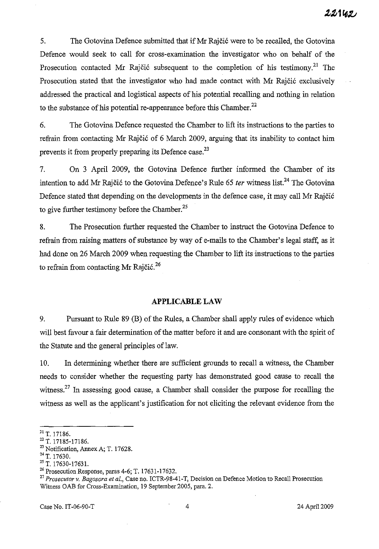5. The Gotovina Defence submitted that if Mr Rajčić were to be recalIed, the Gotovina Defence would seek to call for cross-examination the investigator who on behalf of the Prosecution contacted Mr Rajčić subsequent to the completion of his testimony.<sup>21</sup> The Prosecution stated that the investigator who had made contact with Mr Rajčić exclusively addressed the practical and logistical aspects of his potential recalling and nothing in relation to the substance of his potential re-appearance before this Chamber. 22

6. The Gotovina Defence requested the Chamber to lift its instructions to the parties to refrain from contacting Mr Rajčić of 6 March 2009, arguing that its inability to contact him prevents it from properly preparing its Defence case.<sup>23</sup>

7. On 3 April 2009, the Gotovina Defence further informed the Chamber of its intention to add Mr Rajčić to the Gotovina Defence's Rule 65 *ter* witness list.<sup>24</sup> The Gotovina Defence stated that depending on the developments in the defence case, it may call Mr Rajčić to give further testimony before the Chamber.<sup>25</sup>

8. The Prosecution further requested the Chamber to instruct the Gotovina Defence to refrain from raising matters of substance by way of e-mails to the Chamber's legal staff, as it had done on 26 March 2009 when requesting the Chamber to lift its instructions to the parties to refrain from contacting Mr Rajčić.<sup>26</sup>

## **APPLICABLE LAW**

9. Pursuant to Rule 89 (B) of the Rules, a Chamber shall apply rules of evidence which will best favour a fair determination of the matter before it and are consonant with the spirit of the Statute and the general principles of law.

10. In determining whether there are sufficient grounds to recall a witness, the Chamber needs to consider whether the requesting party has demonstrated good cause to recall the witness.<sup>27</sup> In assessing good cause, a Chamber shall consider the purpose for recalling the witness as well as the applicant's justification for not eliciting the relevant evidence from the

<sup>&</sup>lt;sup>21</sup> T. 17186.

<sup>22</sup>T. 17185-17186.

<sup>&</sup>lt;sup>23</sup> Notification, Annex A; T. 17628.

<sup>&</sup>lt;sup>24</sup> T. 17630.

<sup>25</sup> T. 17630-1763l.

<sup>&</sup>lt;sup>26</sup> Prosecution Response, paras 4-6; T. 17631-17632.

<sup>27</sup>*Prosecutor* v. *Bagosora et al.,* Case no. ICTR-98-41-T, Decision on Defence Motion to Recall Prosecution Witness OAB for Cross-Examination, 19 September 2005, para. 2.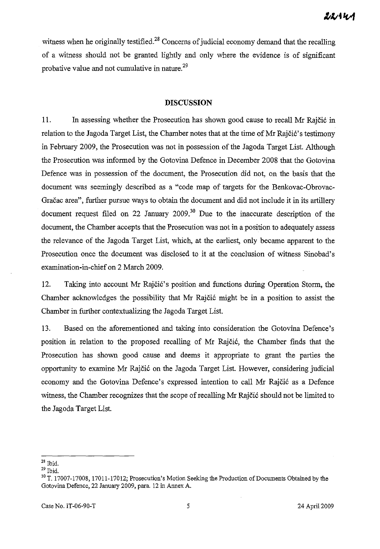witness when he originally testified.<sup>28</sup> Concerns of judicial economy demand that the recalling of a witness should not be granted lightly and only where the evidence is of significant probative value and not cumulative in nature.<sup>29</sup>

## **DISCUSSION**

**ll.** In assessing whether the Prosecution has shown good cause to recall Mr Rajčić in relation to the Jagoda Target List, the Chamber notes that at the time of Mr Rajčić's testimony in February 2009, the Prosecution was not in possession of the Jagoda Target List. Although the Prosecution was informed by the Gotovina Defence in December 2008 that the Gotovina Defence was in possession of the document, the Prosecution did not, on the basis that the document was seemingly described as a "code map of targets for the Benkovac-Obrovac-Gračac area", further pursue ways to obtain the document and did not include it in its artillery document request filed on 22 January  $2009$ <sup>30</sup> Due to the inaccurate description of the document, the Chamber accepts that the Prosecution was not in a position to adequately assess the relevance of the Jagoda Target List, which, at the earliest, only became apparent to the Prosecution once the document was disclosed to it at the conclusion of witness Sinobad's examination-in-chief on 2 March 2009.

12. Taking into account Mr Rajčić's position and functions during Operation Storm, the Chamber acknowledges the possibility that Mr Rajčić might be in a position to assist the Chamber in further contextualizing the Jagoda Target List.

13. Based on the aforementioned and taking into consideration the Gotovina Defence's position in relation to the proposed recalling of Mr Rajčić, the Chamber finds that the Prosecution has shown good cause and deems it appropriate to grant the parties the opportunity to examine Mr Rajčić on the Jagoda Target List. However, considering judicial economy and the Gotovina Defence's expressed intention to call Mr Rajčić as a Defence witness, the Chamber recognizes that the scope of recalling Mr Rajčić should not be limited to the Jagoda Target List.

 $28$  Ibid.

 $^{29}$  Ibid.

<sup>&</sup>lt;sup>30</sup> T. 17007-17008, 17011-17012; Prosecution's Motion Seeking the Production of Documents Obtained by the Gotovina Defence, 22 January 2009, para. 12 in Annex A.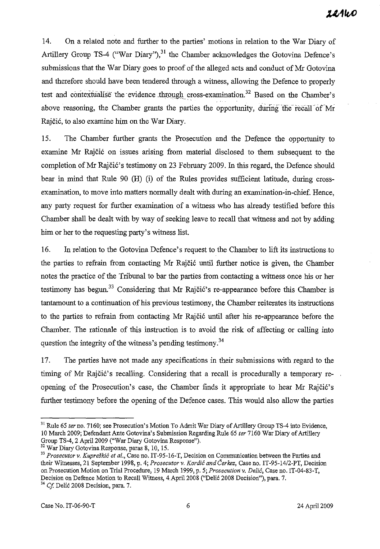14. On a related note and further to the parties' motions in relation to the War Diary of Artillery Group TS-4 ("War Diary"), $31$  the Chamber acknowledges the Gotovina Defence's submissions that the War Diary goes to proof of the alleged acts and conduct of Mr Gotovina and therefore should have been tendered through a witness, allowing the Defence to properly test and contextualise the evidence through cross-examination.<sup>32</sup> Based on the Chamber's above reasoning, the Chamber grants the parties the opportunity, during the recall of Mr Rajčić, to also examine him on the War Diary.

15. The Chamber further grants the Prosecution and the Defence the opportunity to examine Mr Rajčić on issues arising from material disclosed to them subsequent to the completion of Mr Rajčić's testimony on 23 February 2009. In this regard, the Defence should bear in mind that Rule 90 (H) (i) of the Rules provides sufficient latitude, during crossexamination, to move into matters normally dealt with during an examination-in-chief. Hence, any party request for further examination of a witness who has already testified before this Chamber shall be dealt with by way of seeking leave to recall that witness and not by adding him or her to the requesting party's witness list.

16. In relation to the Gotovina Defence's request to the Chamber to lift its instructions to the parties to refrain from contacting Mr Rajčić until further notice is given, the Chamber notes the practice of the Tribunal to bar the parties from contacting a witness once his or her testimony has begun.<sup>33</sup> Considering that Mr Rajčić's re-appearance before this Chamber is tantamount to a continuation of his previous testimony, the Chamber reiterates its instructions to the parties to refrain from contacting Mr Raj čić until after his re-appearance before the Chamber. The rationale of this instruction is to avoid the risk of affecting or calling into question the integrity of the witness's pending testimony.<sup>34</sup>

17. The parties have not made any specifications in their submissions with regard to the timing of Mr Rajčić's recalling. Considering that a recall is procedurally a temporary reopening of the Prosecution's case, the Chamber finds it appropriate to hear Mr Rajčić's further testimony before the opening of the Defence cases. This would also allow the parties

<sup>&</sup>lt;sup>31</sup> Rule 65 *ter* no. 7160; see Prosecution's Motion To Admit War Diary of Artillery Group TS-4 into Evidence, lO March 2009; Defendant Ante Gotovina's Submission Regarding Rule 65 *ter* 7160 War Diary of Artillery Group TS-4, 2 April 2009 ("War Diary Gotovina Response").

<sup>32</sup> War Diary Gotovina Response, paras 8, lO, 15.

<sup>&</sup>lt;sup>33</sup> Prosecutor v. Kupreškić et al., Case no. IT-95-16-T, Decision on Communication between the Parties and their Witnesses, 21 September 1998, p. 4; *Prosecutor* v. Kordić *and* Čerkez, Case no. lT *-95-14/2-PT,* Decision on Prosecution Motion on Trial Procedure, 19 March 1999, p. 5; *Prosecutionv.* Delić, Case no. lT-04-83-T, Decision on Defence Motion to Recall Witness, 4.Apri12008 ("Delić 2008 Decision"), para. 7.

<sup>34</sup>*Cf* Delić 2008 Decision, para. 7.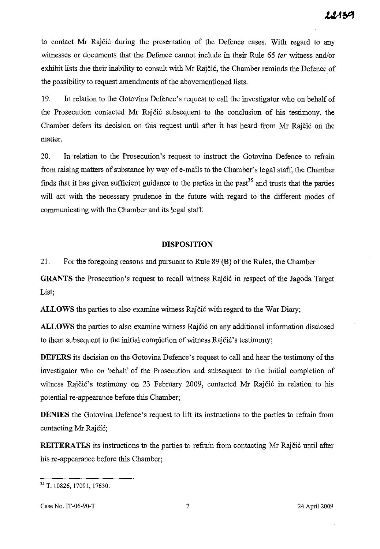to contact Mr Rajčić during the presentation of the Defence cases. With regard to any witnesses or documents that the Defence cannot include in their Rule 65 *ter* witness and/or exhibit lists due their inability to consult with Mr Rajčić, the Chamber reminds the Defence of the possibility to request amendments of the abovementioned lists.

19. In relation to the Gotovina Defence's request to call the investigator who on behalf of the Prosecution contacted Mr Rajčić subsequent to the conclusion of his testimony, the Chamber defers its decision on this request until after it has heard from Mr Rajčić on the matter.

20. In relation to the Prosecution's request to instruct the Gotovina Defence to refrain from raising matters of substance by way of e-mails to the Chamber' s legal staff, the Chamber finds that it has given sufficient guidance to the parties in the past<sup>35</sup> and trusts that the parties will act with the necessary prudence in the future with regard to the different modes of communicating with the Chamber and its legal staff.

# **DISPOSITION**

21. For the foregoing reasons and pursuant to Rule 89 (B) of the Rules, the Chamber

**GRANTS** the Prosecution's request to recall witness Rajčić in respect of the Jagoda Target List;

**ALLOWS** the parties to also examine witness Rajčić with regard to the War Diary;

**ALLOWS** the parties to also examine witness Rajčić on any additional information disclosed to them subsequent to the initial completion of witness Rajčić's testimony;

**DEFERS** its decision on the Gotovina Defence's request to call and hear the testimony of the investigator who on behalf of the Prosecution and subsequent to the initial completion of witness Rajčić's testimony on 23 February 2009, contacted Mr Rajčić in relation to his potential re-appearance before this Chamber;

**DENIES** the Gotovina Defence's request to lift its instructions to the parties to refrain from contacting Mr Rajčić;

**REITERATES** its instructions to the parties to refrain from contacting Mr Rajčić until after his re-appearance before this Chamber;

Case No. IT-06-90-T 24 April 2009

<sup>&</sup>lt;sup>35</sup> T. 10826, 17091, 17630.